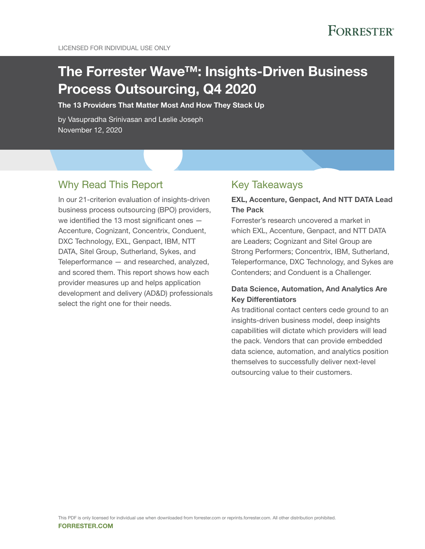# The Forrester Wave™: Insights-Driven Business Process Outsourcing, Q4 2020

The 13 Providers That Matter Most And How They Stack Up

by Vasupradha Srinivasan and Leslie Joseph November 12, 2020

## Why Read This Report

In our 21-criterion evaluation of insights-driven business process outsourcing (BPO) providers, we identified the 13 most significant ones — Accenture, Cognizant, Concentrix, Conduent, DXC Technology, EXL, Genpact, IBM, NTT DATA, Sitel Group, Sutherland, Sykes, and Teleperformance — and researched, analyzed, and scored them. This report shows how each provider measures up and helps application development and delivery (AD&D) professionals select the right one for their needs.

### Key Takeaways

### EXL, Accenture, Genpact, And NTT DATA Lead The Pack

Forrester's research uncovered a market in which EXL, Accenture, Genpact, and NTT DATA are Leaders; Cognizant and Sitel Group are Strong Performers; Concentrix, IBM, Sutherland, Teleperformance, DXC Technology, and Sykes are Contenders; and Conduent is a Challenger.

### Data Science, Automation, And Analytics Are Key Differentiators

As traditional contact centers cede ground to an insights-driven business model, deep insights capabilities will dictate which providers will lead the pack. Vendors that can provide embedded data science, automation, and analytics position themselves to successfully deliver next-level outsourcing value to their customers.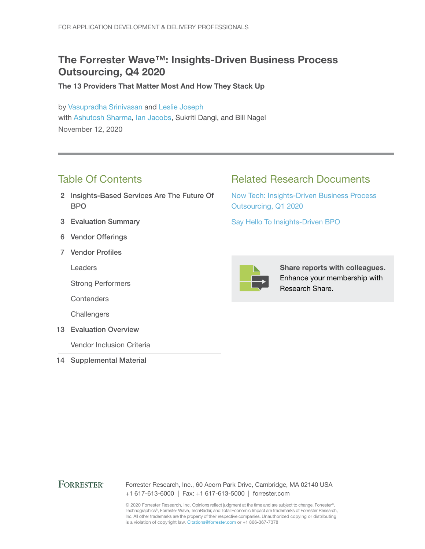## The Forrester Wave™: Insights-Driven Business Process Outsourcing, Q4 2020

The 13 Providers That Matter Most And How They Stack Up

by [Vasupradha Srinivasan](http://www.forrester.com/go?objectid=BIO14324) and [Leslie Joseph](http://www.forrester.com/go?objectid=BIO13104) with [Ashutosh Sharma,](http://www.forrester.com/go?objectid=BIO9464) [Ian Jacobs,](http://www.forrester.com/go?objectid=BIO8124) Sukriti Dangi, and Bill Nagel November 12, 2020

## Table Of Contents

- 2 Insights-Based Services Are The Future Of BPO
- 3 Evaluation Summary
- 6 Vendor Offerings
- 7 Vendor Profiles

Leaders

Strong Performers

**Contenders** 

**Challengers** 

13 Evaluation Overview

Vendor Inclusion Criteria

14 Supplemental Material

## Related Research Documents

[Now Tech: Insights-Driven Business Process](http://www.forrester.com/go?objectid=RES143797)  [Outsourcing, Q1 2020](http://www.forrester.com/go?objectid=RES143797)

[Say Hello To Insights-Driven BPO](http://www.forrester.com/go?objectid=RES158700)



Share reports with colleagues. Enhance your membership with Research Share.

### **FORRESTER®**

Forrester Research, Inc., 60 Acorn Park Drive, Cambridge, MA 02140 USA +1 617-613-6000 | Fax: +1 617-613-5000 | forrester.com

© 2020 Forrester Research, Inc. Opinions reflect judgment at the time and are subject to change. Forrester®, Technographics®, Forrester Wave, TechRadar, and Total Economic Impact are trademarks of Forrester Research, Inc. All other trademarks are the property of their respective companies. Unauthorized copying or distributing is a violation of copyright law. Citations@forrester.com or +1 866-367-7378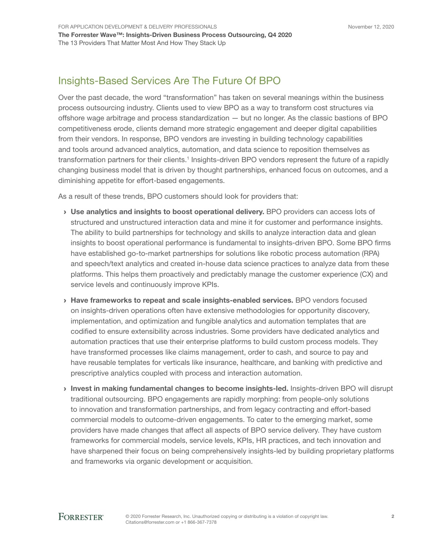## Insights-Based Services Are The Future Of BPO

Over the past decade, the word "transformation" has taken on several meanings within the business process outsourcing industry. Clients used to view BPO as a way to transform cost structures via offshore wage arbitrage and process standardization — but no longer. As the classic bastions of BPO competitiveness erode, clients demand more strategic engagement and deeper digital capabilities from their vendors. In response, BPO vendors are investing in building technology capabilities and tools around advanced analytics, automation, and data science to reposition themselves as transformation partners for their clients.<sup>1</sup> Insights-driven BPO vendors represent the future of a rapidly changing business model that is driven by thought partnerships, enhanced focus on outcomes, and a diminishing appetite for effort-based engagements.

As a result of these trends, BPO customers should look for providers that:

- › Use analytics and insights to boost operational delivery. BPO providers can access lots of structured and unstructured interaction data and mine it for customer and performance insights. The ability to build partnerships for technology and skills to analyze interaction data and glean insights to boost operational performance is fundamental to insights-driven BPO. Some BPO firms have established go-to-market partnerships for solutions like robotic process automation (RPA) and speech/text analytics and created in-house data science practices to analyze data from these platforms. This helps them proactively and predictably manage the customer experience (CX) and service levels and continuously improve KPIs.
- › Have frameworks to repeat and scale insights-enabled services. BPO vendors focused on insights-driven operations often have extensive methodologies for opportunity discovery, implementation, and optimization and fungible analytics and automation templates that are codified to ensure extensibility across industries. Some providers have dedicated analytics and automation practices that use their enterprise platforms to build custom process models. They have transformed processes like claims management, order to cash, and source to pay and have reusable templates for verticals like insurance, healthcare, and banking with predictive and prescriptive analytics coupled with process and interaction automation.
- › Invest in making fundamental changes to become insights-led. Insights-driven BPO will disrupt traditional outsourcing. BPO engagements are rapidly morphing: from people-only solutions to innovation and transformation partnerships, and from legacy contracting and effort-based commercial models to outcome-driven engagements. To cater to the emerging market, some providers have made changes that affect all aspects of BPO service delivery. They have custom frameworks for commercial models, service levels, KPIs, HR practices, and tech innovation and have sharpened their focus on being comprehensively insights-led by building proprietary platforms and frameworks via organic development or acquisition.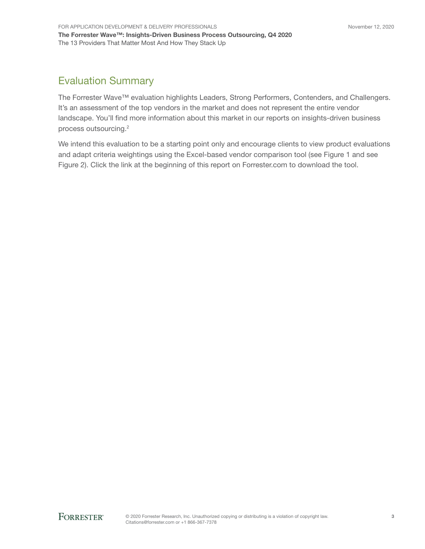## Evaluation Summary

The Forrester Wave™ evaluation highlights Leaders, Strong Performers, Contenders, and Challengers. It's an assessment of the top vendors in the market and does not represent the entire vendor landscape. You'll find more information about this market in our reports on insights-driven business process outsourcing.<sup>2</sup>

We intend this evaluation to be a starting point only and encourage clients to view product evaluations and adapt criteria weightings using the Excel-based vendor comparison tool (see Figure 1 and see Figure 2). Click the link at the beginning of this report on Forrester.com to download the tool.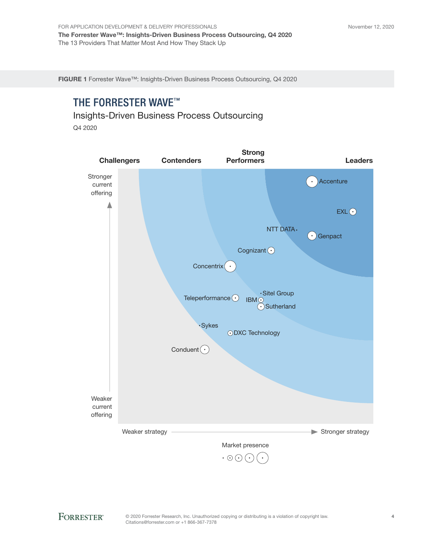FIGURE 1 Forrester Wave™: Insights-Driven Business Process Outsourcing, Q4 2020

## THE FORRESTER WAVE™

Insights-Driven Business Process Outsourcing Q4 2020

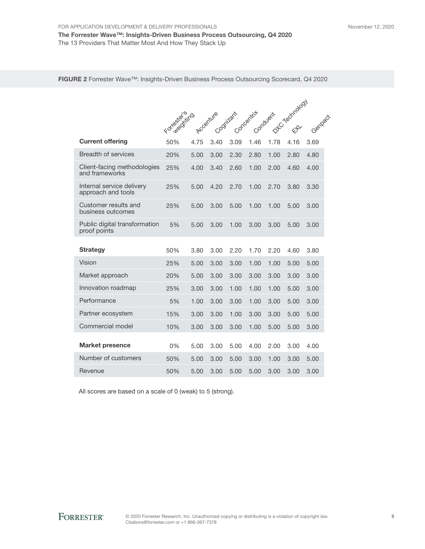#### FIGURE 2 Forrester Wave™: Insights-Driven Business Process Outsourcing Scorecard, Q4 2020

|                                                 |              |      |           |           |            |          | DTC Technology |         |  |
|-------------------------------------------------|--------------|------|-----------|-----------|------------|----------|----------------|---------|--|
|                                                 |              |      |           |           |            |          |                |         |  |
|                                                 | Formald Kind |      | Accenture | Cognizant | Concentrit | Conduent |                | Genpach |  |
| <b>Current offering</b>                         | 50%          | 4.75 | 3.40      | 3.09      | 1.46       | 1.78     | 4.16           | 3.69    |  |
| <b>Breadth of services</b>                      | 20%          | 5.00 | 3.00      | 2.30      | 2.80       | 1.00     | 2.80           | 4.80    |  |
| Client-facing methodologies<br>and frameworks   | 25%          | 4.00 | 3.40      | 2.60      | 1.00       | 2.00     | 4.60           | 4.00    |  |
| Internal service delivery<br>approach and tools | 25%          | 5.00 | 4.20      | 2.70      | 1.00       | 2.70     | 3.80           | 3.30    |  |
| Customer results and<br>business outcomes       | 25%          | 5.00 | 3.00      | 5.00      | 1.00       | 1.00     | 5.00           | 3.00    |  |
| Public digital transformation<br>proof points   | 5%           | 5.00 | 3.00      | 1.00      | 3.00       | 3.00     | 5.00           | 3.00    |  |
| <b>Strategy</b>                                 | 50%          | 3.80 | 3.00      | 2.20      | 1.70       | 2.20     | 4.60           | 3.80    |  |
| Vision                                          | 25%          | 5.00 | 3.00      | 3.00      | 1.00       | 1.00     | 5.00           | 5.00    |  |
| Market approach                                 | 20%          | 5.00 | 3.00      | 3.00      | 3.00       | 3.00     | 3.00           | 3.00    |  |
| Innovation roadmap                              | 25%          | 3.00 | 3.00      | 1.00      | 1.00       | 1.00     | 5.00           | 3.00    |  |
| Performance                                     | 5%           | 1.00 | 3.00      | 3.00      | 1.00       | 3.00     | 5.00           | 3.00    |  |
| Partner ecosystem                               | 15%          | 3.00 | 3.00      | 1.00      | 3.00       | 3.00     | 5.00           | 5.00    |  |
| Commercial model                                | 10%          | 3.00 | 3.00      | 3.00      | 1.00       | 5.00     | 5.00           | 3.00    |  |
| <b>Market presence</b>                          | 0%           | 5.00 | 3.00      | 5.00      | 4.00       | 2.00     | 3.00           | 4.00    |  |
| Number of customers                             | 50%          | 5.00 | 3.00      | 5.00      | 3.00       | 1.00     | 3.00           | 5.00    |  |
| Revenue                                         | 50%          | 5.00 | 3.00      | 5.00      | 5.00       | 3.00     | 3.00           | 3.00    |  |

All scores are based on a scale of 0 (weak) to 5 (strong).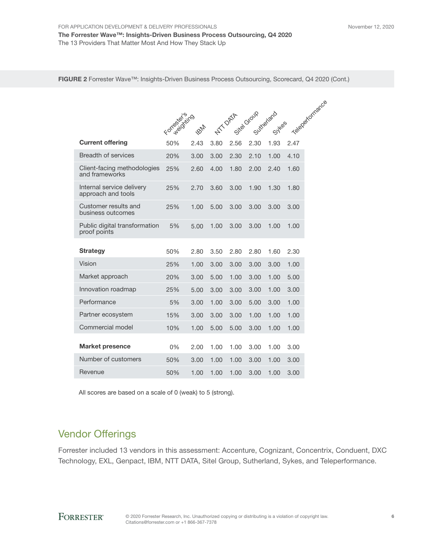FIGURE 2 Forrester Wave™: Insights-Driven Business Process Outsourcing, Scorecard, Q4 2020 (Cont.)

|                                                 | Formald Kind |             |      |                 |      |                       | Telepertomance |
|-------------------------------------------------|--------------|-------------|------|-----------------|------|-----------------------|----------------|
|                                                 |              | <b>FOND</b> |      | <b>NTT OATA</b> |      | Site Group sythetiand |                |
| <b>Current offering</b>                         | 50%          | 2.43        | 3.80 | 2.56            | 2.30 | 1.93                  | 2.47           |
| <b>Breadth of services</b>                      | 20%          | 3.00        | 3.00 | 2.30            | 2.10 | 1.00                  | 4.10           |
| Client-facing methodologies<br>and frameworks   | 25%          | 2.60        | 4.00 | 1.80            | 2.00 | 2.40                  | 1.60           |
| Internal service delivery<br>approach and tools | 25%          | 2.70        | 3.60 | 3.00            | 1.90 | 1.30                  | 1.80           |
| Customer results and<br>business outcomes       | 25%          | 1.00        | 5.00 | 3.00            | 3.00 | 3.00                  | 3.00           |
| Public digital transformation<br>proof points   | 5%           | 5.00        | 1.00 | 3.00            | 3.00 | 1.00                  | 1.00           |
| <b>Strategy</b>                                 | 50%          | 2.80        | 3.50 | 2.80            | 2.80 | 1.60                  | 2.30           |
| Vision                                          | 25%          | 1.00        | 3.00 | 3.00            | 3.00 | 3.00                  | 1.00           |
| Market approach                                 | 20%          | 3.00        | 5.00 | 1.00            | 3.00 | 1.00                  | 5.00           |
| Innovation roadmap                              | 25%          | 5.00        | 3.00 | 3.00            | 3.00 | 1.00                  | 3.00           |
| Performance                                     | 5%           | 3.00        | 1.00 | 3.00            | 5.00 | 3.00                  | 1.00           |
| Partner ecosystem                               | 15%          | 3.00        | 3.00 | 3.00            | 1.00 | 1.00                  | 1.00           |
| Commercial model                                | 10%          | 1.00        | 5.00 | 5.00            | 3.00 | 1.00                  | 1.00           |
| <b>Market presence</b>                          | $0\%$        | 2.00        | 1.00 | 1.00            | 3.00 | 1.00                  | 3.00           |
| Number of customers                             | 50%          | 3.00        | 1.00 | 1.00            | 3.00 | 1.00                  | 3.00           |
| Revenue                                         | 50%          | 1.00        | 1.00 | 1.00            | 3.00 | 1.00                  | 3.00           |

All scores are based on a scale of 0 (weak) to 5 (strong).

## Vendor Offerings

Forrester included 13 vendors in this assessment: Accenture, Cognizant, Concentrix, Conduent, DXC Technology, EXL, Genpact, IBM, NTT DATA, Sitel Group, Sutherland, Sykes, and Teleperformance.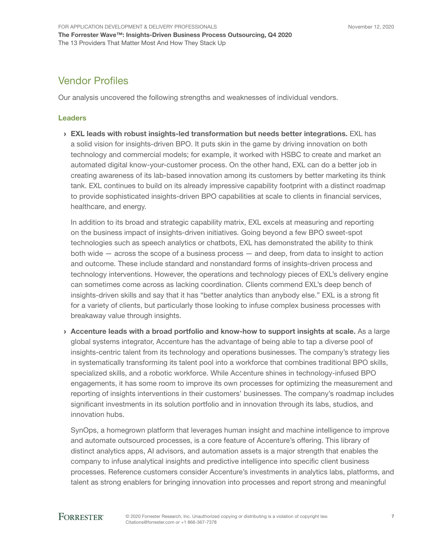## Vendor Profiles

Our analysis uncovered the following strengths and weaknesses of individual vendors.

#### Leaders

› EXL leads with robust insights-led transformation but needs better integrations. EXL has a solid vision for insights-driven BPO. It puts skin in the game by driving innovation on both technology and commercial models; for example, it worked with HSBC to create and market an automated digital know-your-customer process. On the other hand, EXL can do a better job in creating awareness of its lab-based innovation among its customers by better marketing its think tank. EXL continues to build on its already impressive capability footprint with a distinct roadmap to provide sophisticated insights-driven BPO capabilities at scale to clients in financial services, healthcare, and energy.

In addition to its broad and strategic capability matrix, EXL excels at measuring and reporting on the business impact of insights-driven initiatives. Going beyond a few BPO sweet-spot technologies such as speech analytics or chatbots, EXL has demonstrated the ability to think both wide — across the scope of a business process — and deep, from data to insight to action and outcome. These include standard and nonstandard forms of insights-driven process and technology interventions. However, the operations and technology pieces of EXL's delivery engine can sometimes come across as lacking coordination. Clients commend EXL's deep bench of insights-driven skills and say that it has "better analytics than anybody else." EXL is a strong fit for a variety of clients, but particularly those looking to infuse complex business processes with breakaway value through insights.

› Accenture leads with a broad portfolio and know-how to support insights at scale. As a large global systems integrator, Accenture has the advantage of being able to tap a diverse pool of insights-centric talent from its technology and operations businesses. The company's strategy lies in systematically transforming its talent pool into a workforce that combines traditional BPO skills, specialized skills, and a robotic workforce. While Accenture shines in technology-infused BPO engagements, it has some room to improve its own processes for optimizing the measurement and reporting of insights interventions in their customers' businesses. The company's roadmap includes significant investments in its solution portfolio and in innovation through its labs, studios, and innovation hubs.

SynOps, a homegrown platform that leverages human insight and machine intelligence to improve and automate outsourced processes, is a core feature of Accenture's offering. This library of distinct analytics apps, AI advisors, and automation assets is a major strength that enables the company to infuse analytical insights and predictive intelligence into specific client business processes. Reference customers consider Accenture's investments in analytics labs, platforms, and talent as strong enablers for bringing innovation into processes and report strong and meaningful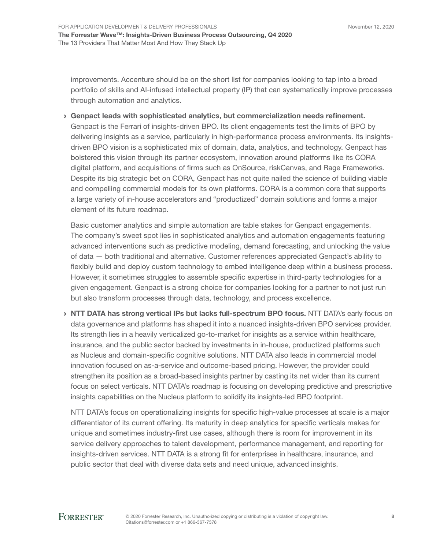improvements. Accenture should be on the short list for companies looking to tap into a broad portfolio of skills and AI-infused intellectual property (IP) that can systematically improve processes through automation and analytics.

› Genpact leads with sophisticated analytics, but commercialization needs refinement. Genpact is the Ferrari of insights-driven BPO. Its client engagements test the limits of BPO by delivering insights as a service, particularly in high-performance process environments. Its insightsdriven BPO vision is a sophisticated mix of domain, data, analytics, and technology. Genpact has bolstered this vision through its partner ecosystem, innovation around platforms like its CORA digital platform, and acquisitions of firms such as OnSource, riskCanvas, and Rage Frameworks. Despite its big strategic bet on CORA, Genpact has not quite nailed the science of building viable and compelling commercial models for its own platforms. CORA is a common core that supports a large variety of in-house accelerators and "productized" domain solutions and forms a major element of its future roadmap.

Basic customer analytics and simple automation are table stakes for Genpact engagements. The company's sweet spot lies in sophisticated analytics and automation engagements featuring advanced interventions such as predictive modeling, demand forecasting, and unlocking the value of data — both traditional and alternative. Customer references appreciated Genpact's ability to flexibly build and deploy custom technology to embed intelligence deep within a business process. However, it sometimes struggles to assemble specific expertise in third-party technologies for a given engagement. Genpact is a strong choice for companies looking for a partner to not just run but also transform processes through data, technology, and process excellence.

› NTT DATA has strong vertical IPs but lacks full-spectrum BPO focus. NTT DATA's early focus on data governance and platforms has shaped it into a nuanced insights-driven BPO services provider. Its strength lies in a heavily verticalized go-to-market for insights as a service within healthcare, insurance, and the public sector backed by investments in in-house, productized platforms such as Nucleus and domain-specific cognitive solutions. NTT DATA also leads in commercial model innovation focused on as-a-service and outcome-based pricing. However, the provider could strengthen its position as a broad-based insights partner by casting its net wider than its current focus on select verticals. NTT DATA's roadmap is focusing on developing predictive and prescriptive insights capabilities on the Nucleus platform to solidify its insights-led BPO footprint.

NTT DATA's focus on operationalizing insights for specific high-value processes at scale is a major differentiator of its current offering. Its maturity in deep analytics for specific verticals makes for unique and sometimes industry-first use cases, although there is room for improvement in its service delivery approaches to talent development, performance management, and reporting for insights-driven services. NTT DATA is a strong fit for enterprises in healthcare, insurance, and public sector that deal with diverse data sets and need unique, advanced insights.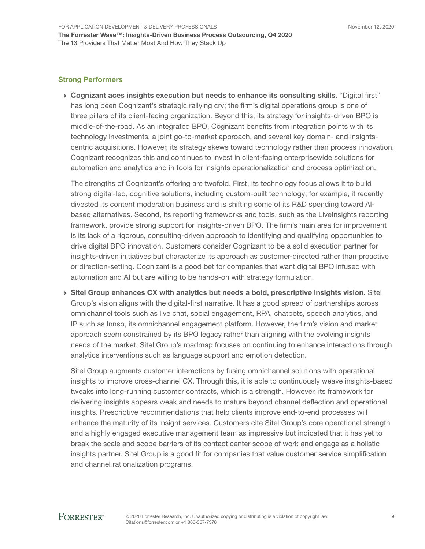#### Strong Performers

› Cognizant aces insights execution but needs to enhance its consulting skills. "Digital first" has long been Cognizant's strategic rallying cry; the firm's digital operations group is one of three pillars of its client-facing organization. Beyond this, its strategy for insights-driven BPO is middle-of-the-road. As an integrated BPO, Cognizant benefits from integration points with its technology investments, a joint go-to-market approach, and several key domain- and insightscentric acquisitions. However, its strategy skews toward technology rather than process innovation. Cognizant recognizes this and continues to invest in client-facing enterprisewide solutions for automation and analytics and in tools for insights operationalization and process optimization.

The strengths of Cognizant's offering are twofold. First, its technology focus allows it to build strong digital-led, cognitive solutions, including custom-built technology; for example, it recently divested its content moderation business and is shifting some of its R&D spending toward AIbased alternatives. Second, its reporting frameworks and tools, such as the LiveInsights reporting framework, provide strong support for insights-driven BPO. The firm's main area for improvement is its lack of a rigorous, consulting-driven approach to identifying and qualifying opportunities to drive digital BPO innovation. Customers consider Cognizant to be a solid execution partner for insights-driven initiatives but characterize its approach as customer-directed rather than proactive or direction-setting. Cognizant is a good bet for companies that want digital BPO infused with automation and AI but are willing to be hands-on with strategy formulation.

› Sitel Group enhances CX with analytics but needs a bold, prescriptive insights vision. Sitel Group's vision aligns with the digital-first narrative. It has a good spread of partnerships across omnichannel tools such as live chat, social engagement, RPA, chatbots, speech analytics, and IP such as Innso, its omnichannel engagement platform. However, the firm's vision and market approach seem constrained by its BPO legacy rather than aligning with the evolving insights needs of the market. Sitel Group's roadmap focuses on continuing to enhance interactions through analytics interventions such as language support and emotion detection.

Sitel Group augments customer interactions by fusing omnichannel solutions with operational insights to improve cross-channel CX. Through this, it is able to continuously weave insights-based tweaks into long-running customer contracts, which is a strength. However, its framework for delivering insights appears weak and needs to mature beyond channel deflection and operational insights. Prescriptive recommendations that help clients improve end-to-end processes will enhance the maturity of its insight services. Customers cite Sitel Group's core operational strength and a highly engaged executive management team as impressive but indicated that it has yet to break the scale and scope barriers of its contact center scope of work and engage as a holistic insights partner. Sitel Group is a good fit for companies that value customer service simplification and channel rationalization programs.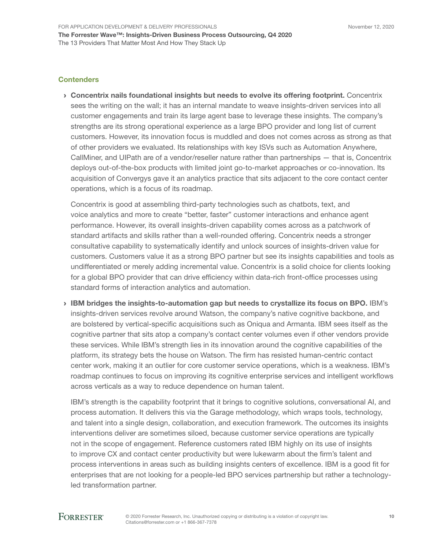#### **Contenders**

› Concentrix nails foundational insights but needs to evolve its offering footprint. Concentrix sees the writing on the wall; it has an internal mandate to weave insights-driven services into all customer engagements and train its large agent base to leverage these insights. The company's strengths are its strong operational experience as a large BPO provider and long list of current customers. However, its innovation focus is muddled and does not comes across as strong as that of other providers we evaluated. Its relationships with key ISVs such as Automation Anywhere, CallMiner, and UIPath are of a vendor/reseller nature rather than partnerships — that is, Concentrix deploys out-of-the-box products with limited joint go-to-market approaches or co-innovation. Its acquisition of Convergys gave it an analytics practice that sits adjacent to the core contact center operations, which is a focus of its roadmap.

Concentrix is good at assembling third-party technologies such as chatbots, text, and voice analytics and more to create "better, faster" customer interactions and enhance agent performance. However, its overall insights-driven capability comes across as a patchwork of standard artifacts and skills rather than a well-rounded offering. Concentrix needs a stronger consultative capability to systematically identify and unlock sources of insights-driven value for customers. Customers value it as a strong BPO partner but see its insights capabilities and tools as undifferentiated or merely adding incremental value. Concentrix is a solid choice for clients looking for a global BPO provider that can drive efficiency within data-rich front-office processes using standard forms of interaction analytics and automation.

› IBM bridges the insights-to-automation gap but needs to crystallize its focus on BPO. IBM's insights-driven services revolve around Watson, the company's native cognitive backbone, and are bolstered by vertical-specific acquisitions such as Oniqua and Armanta. IBM sees itself as the cognitive partner that sits atop a company's contact center volumes even if other vendors provide these services. While IBM's strength lies in its innovation around the cognitive capabilities of the platform, its strategy bets the house on Watson. The firm has resisted human-centric contact center work, making it an outlier for core customer service operations, which is a weakness. IBM's roadmap continues to focus on improving its cognitive enterprise services and intelligent workflows across verticals as a way to reduce dependence on human talent.

IBM's strength is the capability footprint that it brings to cognitive solutions, conversational AI, and process automation. It delivers this via the Garage methodology, which wraps tools, technology, and talent into a single design, collaboration, and execution framework. The outcomes its insights interventions deliver are sometimes siloed, because customer service operations are typically not in the scope of engagement. Reference customers rated IBM highly on its use of insights to improve CX and contact center productivity but were lukewarm about the firm's talent and process interventions in areas such as building insights centers of excellence. IBM is a good fit for enterprises that are not looking for a people-led BPO services partnership but rather a technologyled transformation partner.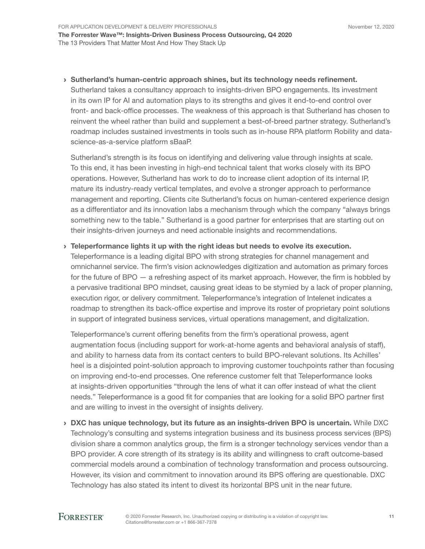#### › Sutherland's human-centric approach shines, but its technology needs refinement.

Sutherland takes a consultancy approach to insights-driven BPO engagements. Its investment in its own IP for AI and automation plays to its strengths and gives it end-to-end control over front- and back-office processes. The weakness of this approach is that Sutherland has chosen to reinvent the wheel rather than build and supplement a best-of-breed partner strategy. Sutherland's roadmap includes sustained investments in tools such as in-house RPA platform Robility and datascience-as-a-service platform sBaaP.

Sutherland's strength is its focus on identifying and delivering value through insights at scale. To this end, it has been investing in high-end technical talent that works closely with its BPO operations. However, Sutherland has work to do to increase client adoption of its internal IP, mature its industry-ready vertical templates, and evolve a stronger approach to performance management and reporting. Clients cite Sutherland's focus on human-centered experience design as a differentiator and its innovation labs a mechanism through which the company "always brings something new to the table." Sutherland is a good partner for enterprises that are starting out on their insights-driven journeys and need actionable insights and recommendations.

#### › Teleperformance lights it up with the right ideas but needs to evolve its execution.

Teleperformance is a leading digital BPO with strong strategies for channel management and omnichannel service. The firm's vision acknowledges digitization and automation as primary forces for the future of BPO — a refreshing aspect of its market approach. However, the firm is hobbled by a pervasive traditional BPO mindset, causing great ideas to be stymied by a lack of proper planning, execution rigor, or delivery commitment. Teleperformance's integration of Intelenet indicates a roadmap to strengthen its back-office expertise and improve its roster of proprietary point solutions in support of integrated business services, virtual operations management, and digitalization.

Teleperformance's current offering benefits from the firm's operational prowess, agent augmentation focus (including support for work-at-home agents and behavioral analysis of staff), and ability to harness data from its contact centers to build BPO-relevant solutions. Its Achilles' heel is a disjointed point-solution approach to improving customer touchpoints rather than focusing on improving end-to-end processes. One reference customer felt that Teleperformance looks at insights-driven opportunities "through the lens of what it can offer instead of what the client needs." Teleperformance is a good fit for companies that are looking for a solid BPO partner first and are willing to invest in the oversight of insights delivery.

› DXC has unique technology, but its future as an insights-driven BPO is uncertain. While DXC Technology's consulting and systems integration business and its business process services (BPS) division share a common analytics group, the firm is a stronger technology services vendor than a BPO provider. A core strength of its strategy is its ability and willingness to craft outcome-based commercial models around a combination of technology transformation and process outsourcing. However, its vision and commitment to innovation around its BPS offering are questionable. DXC Technology has also stated its intent to divest its horizontal BPS unit in the near future.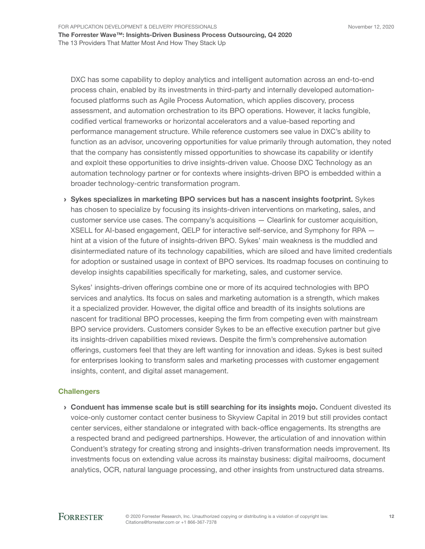DXC has some capability to deploy analytics and intelligent automation across an end-to-end process chain, enabled by its investments in third-party and internally developed automationfocused platforms such as Agile Process Automation, which applies discovery, process assessment, and automation orchestration to its BPO operations. However, it lacks fungible, codified vertical frameworks or horizontal accelerators and a value-based reporting and performance management structure. While reference customers see value in DXC's ability to function as an advisor, uncovering opportunities for value primarily through automation, they noted that the company has consistently missed opportunities to showcase its capability or identify and exploit these opportunities to drive insights-driven value. Choose DXC Technology as an automation technology partner or for contexts where insights-driven BPO is embedded within a broader technology-centric transformation program.

› Sykes specializes in marketing BPO services but has a nascent insights footprint. Sykes has chosen to specialize by focusing its insights-driven interventions on marketing, sales, and customer service use cases. The company's acquisitions — Clearlink for customer acquisition, XSELL for AI-based engagement, QELP for interactive self-service, and Symphony for RPA hint at a vision of the future of insights-driven BPO. Sykes' main weakness is the muddled and disintermediated nature of its technology capabilities, which are siloed and have limited credentials for adoption or sustained usage in context of BPO services. Its roadmap focuses on continuing to develop insights capabilities specifically for marketing, sales, and customer service.

Sykes' insights-driven offerings combine one or more of its acquired technologies with BPO services and analytics. Its focus on sales and marketing automation is a strength, which makes it a specialized provider. However, the digital office and breadth of its insights solutions are nascent for traditional BPO processes, keeping the firm from competing even with mainstream BPO service providers. Customers consider Sykes to be an effective execution partner but give its insights-driven capabilities mixed reviews. Despite the firm's comprehensive automation offerings, customers feel that they are left wanting for innovation and ideas. Sykes is best suited for enterprises looking to transform sales and marketing processes with customer engagement insights, content, and digital asset management.

#### **Challengers**

› Conduent has immense scale but is still searching for its insights mojo. Conduent divested its voice-only customer contact center business to Skyview Capital in 2019 but still provides contact center services, either standalone or integrated with back-office engagements. Its strengths are a respected brand and pedigreed partnerships. However, the articulation of and innovation within Conduent's strategy for creating strong and insights-driven transformation needs improvement. Its investments focus on extending value across its mainstay business: digital mailrooms, document analytics, OCR, natural language processing, and other insights from unstructured data streams.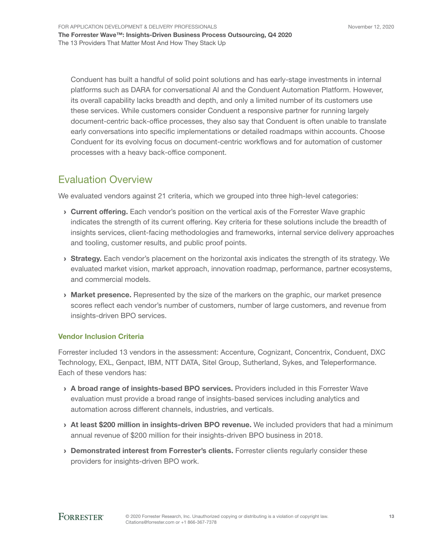Conduent has built a handful of solid point solutions and has early-stage investments in internal platforms such as DARA for conversational AI and the Conduent Automation Platform. However, its overall capability lacks breadth and depth, and only a limited number of its customers use these services. While customers consider Conduent a responsive partner for running largely document-centric back-office processes, they also say that Conduent is often unable to translate early conversations into specific implementations or detailed roadmaps within accounts. Choose Conduent for its evolving focus on document-centric workflows and for automation of customer processes with a heavy back-office component.

## Evaluation Overview

We evaluated vendors against 21 criteria, which we grouped into three high-level categories:

- **Current offering.** Each vendor's position on the vertical axis of the Forrester Wave graphic indicates the strength of its current offering. Key criteria for these solutions include the breadth of insights services, client-facing methodologies and frameworks, internal service delivery approaches and tooling, customer results, and public proof points.
- **Strategy.** Each vendor's placement on the horizontal axis indicates the strength of its strategy. We evaluated market vision, market approach, innovation roadmap, performance, partner ecosystems, and commercial models.
- **Market presence.** Represented by the size of the markers on the graphic, our market presence scores reflect each vendor's number of customers, number of large customers, and revenue from insights-driven BPO services.

#### Vendor Inclusion Criteria

Forrester included 13 vendors in the assessment: Accenture, Cognizant, Concentrix, Conduent, DXC Technology, EXL, Genpact, IBM, NTT DATA, Sitel Group, Sutherland, Sykes, and Teleperformance. Each of these vendors has:

- › A broad range of insights-based BPO services. Providers included in this Forrester Wave evaluation must provide a broad range of insights-based services including analytics and automation across different channels, industries, and verticals.
- > At least \$200 million in insights-driven BPO revenue. We included providers that had a minimum annual revenue of \$200 million for their insights-driven BPO business in 2018.
- › Demonstrated interest from Forrester's clients. Forrester clients regularly consider these providers for insights-driven BPO work.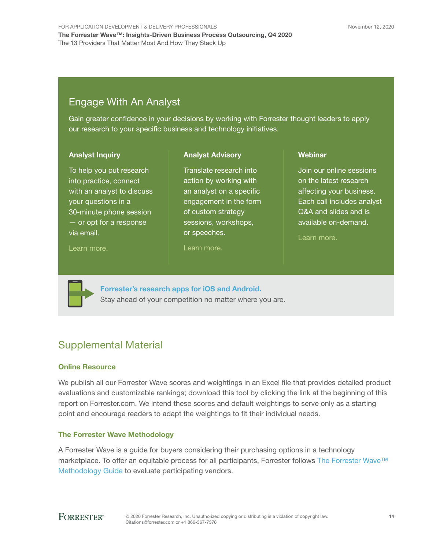## Engage With An Analyst

Gain greater confidence in your decisions by working with Forrester thought leaders to apply our research to your specific business and technology initiatives.

> Translate research into action by working with an analyst on a specific engagement in the form of custom strategy sessions, workshops,

Analyst Advisory

#### Analyst Inquiry

To help you put research into practice, connect with an analyst to discuss your questions in a 30-minute phone session — or opt for a response via email.

[Learn more.](http://forr.com/1einFan)

[Learn more.](http://www.forrester.com/Analyst-Advisory/-/E-MPL172)

or speeches.

**Webinar** 

Join our online sessions on the latest research affecting your business. Each call includes analyst Q&A and slides and is available on-demand.

[Learn more](https://www.forrester.com/events?N=10006+5025).



[Forrester's research apps for iOS and Android.](http://www.forrester.com/app) Stay ahead of your competition no matter where you are.

## Supplemental Material

#### Online Resource

We publish all our Forrester Wave scores and weightings in an Excel file that provides detailed product evaluations and customizable rankings; download this tool by clicking the link at the beginning of this report on Forrester.com. We intend these scores and default weightings to serve only as a starting point and encourage readers to adapt the weightings to fit their individual needs.

### The Forrester Wave Methodology

A Forrester Wave is a guide for buyers considering their purchasing options in a technology marketplace. To offer an equitable process for all participants, Forrester follows The Forrester Wave™ [Methodology Guide](https://www.forrester.com/marketing/policies/forrester-wave-methodology.html) to evaluate participating vendors.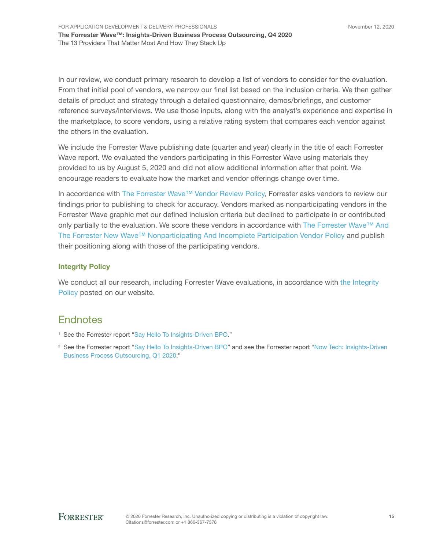In our review, we conduct primary research to develop a list of vendors to consider for the evaluation. From that initial pool of vendors, we narrow our final list based on the inclusion criteria. We then gather details of product and strategy through a detailed questionnaire, demos/briefings, and customer reference surveys/interviews. We use those inputs, along with the analyst's experience and expertise in the marketplace, to score vendors, using a relative rating system that compares each vendor against the others in the evaluation.

We include the Forrester Wave publishing date (quarter and year) clearly in the title of each Forrester Wave report. We evaluated the vendors participating in this Forrester Wave using materials they provided to us by August 5, 2020 and did not allow additional information after that point. We encourage readers to evaluate how the market and vendor offerings change over time.

In accordance with [The Forrester Wave™ Vendor Review Policy](https://www.forrester.com/marketing/policies/wave-vendor-review-policy.html), Forrester asks vendors to review our findings prior to publishing to check for accuracy. Vendors marked as nonparticipating vendors in the Forrester Wave graphic met our defined inclusion criteria but declined to participate in or contributed only partially to the evaluation. We score these vendors in accordance with The Forrester Wave™ And [The Forrester New Wave™ Nonparticipating And Incomplete Participation Vendor Policy](https://www.forrester.com/marketing/policies/wave-vendor-nonparticipation-policy.html) and publish their positioning along with those of the participating vendors.

#### Integrity Policy

We conduct all our research, including Forrester Wave evaluations, in accordance with the Integrity [Policy](http://www.forrester.com/marketing/policies/integrity-policy.html) posted on our website.

### **Endnotes**

- <sup>1</sup> See the Forrester report "[Say Hello To Insights-Driven BPO](http://www.forrester.com/go?objectid=RES158700)."
- <sup>2</sup> See the Forrester report "[Say Hello To Insights-Driven BPO](http://www.forrester.com/go?objectid=RES158700)" and see the Forrester report "Now Tech: Insights-Driven [Business Process Outsourcing, Q1 2020](http://www.forrester.com/go?objectid=RES143797)."